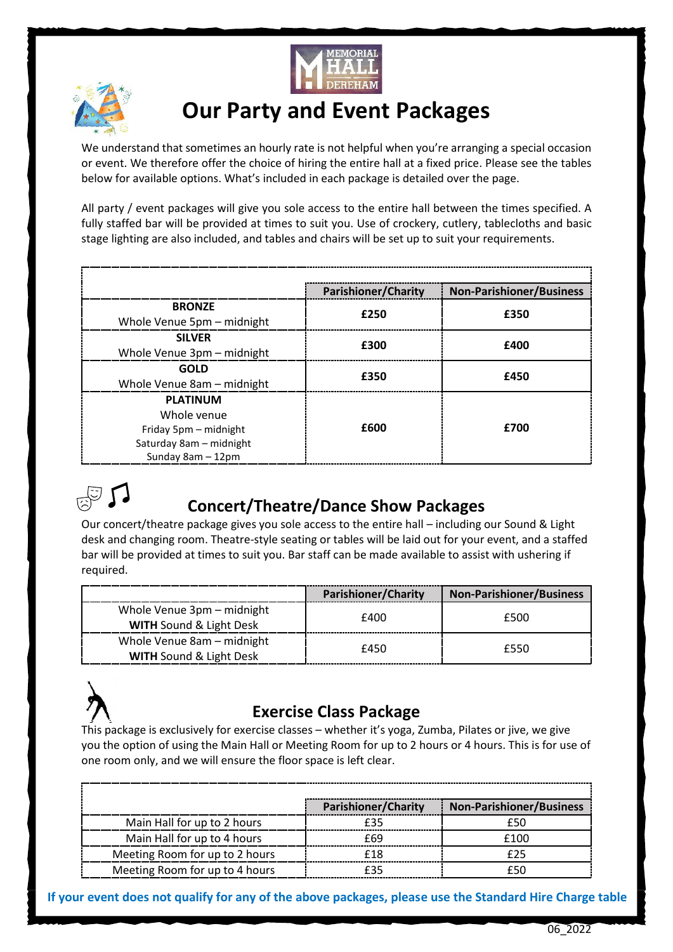



# **Our Party and Event Packages**

We understand that sometimes an hourly rate is not helpful when you're arranging a special occasion or event. We therefore offer the choice of hiring the entire hall at a fixed price. Please see the tables below for available options. What's included in each package is detailed over the page.

All party / event packages will give you sole access to the entire hall between the times specified. A fully staffed bar will be provided at times to suit you. Use of crockery, cutlery, tablecloths and basic stage lighting are also included, and tables and chairs will be set up to suit your requirements.

|                            | <b>Parishioner/Charity</b> | <b>Non-Parishioner/Business</b> |
|----------------------------|----------------------------|---------------------------------|
| <b>BRONZE</b>              | £250                       | £350                            |
| Whole Venue 5pm - midnight |                            |                                 |
| <b>SILVER</b>              | £300                       | £400                            |
| Whole Venue 3pm - midnight |                            |                                 |
| <b>GOLD</b>                | £350                       | £450                            |
| Whole Venue 8am - midnight |                            |                                 |
| <b>PLATINUM</b>            | £600                       |                                 |
| Whole venue                |                            | £700                            |
| Friday 5pm – midnight      |                            |                                 |
| Saturday 8am - midnight    |                            |                                 |
| Sunday 8am - 12pm          |                            |                                 |



### **Concert/Theatre/Dance Show Packages**

Our concert/theatre package gives you sole access to the entire hall – including our Sound & Light desk and changing room. Theatre-style seating or tables will be laid out for your event, and a staffed bar will be provided at times to suit you. Bar staff can be made available to assist with ushering if required.

|                                                                  | <b>Parishioner/Charity</b> | <b>Non-Parishioner/Business</b> |
|------------------------------------------------------------------|----------------------------|---------------------------------|
| Whole Venue 3pm - midnight<br><b>WITH Sound &amp; Light Desk</b> | £400                       | £500                            |
| Whole Venue 8am - midnight<br><b>WITH Sound &amp; Light Desk</b> | £450                       | £550                            |



#### **Exercise Class Package**

This package is exclusively for exercise classes – whether it's yoga, Zumba, Pilates or jive, we give you the option of using the Main Hall or Meeting Room for up to 2 hours or 4 hours. This is for use of one room only, and we will ensure the floor space is left clear.

|                                | <b>Parishioner/Charity</b> | <b>Non-Parishioner/Business</b> |
|--------------------------------|----------------------------|---------------------------------|
| Main Hall for up to 2 hours    |                            | ∈հՈ                             |
| Main Hall for up to 4 hours    | f69                        | £100                            |
| Meeting Room for up to 2 hours | f18                        |                                 |
| Meeting Room for up to 4 hours |                            |                                 |

**If your event does not qualify for any of the above packages, please use the Standard Hire Charge table**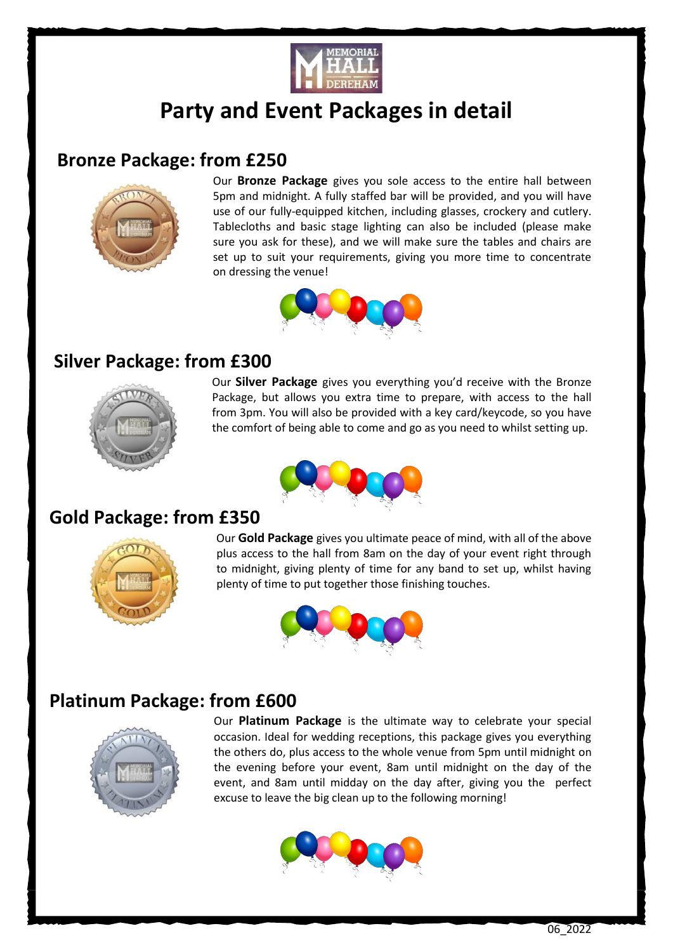

# **Party and Event Packages in detail**

#### **Bronze Package: from £250**



 Our **Bronze Package** gives you sole access to the entire hall between 5pm and midnight. A fully staffed bar will be provided, and you will have use of our fully-equipped kitchen, including glasses, crockery and cutlery. Tablecloths and basic stage lighting can also be included (please make sure you ask for these), and we will make sure the tables and chairs are set up to suit your requirements, giving you more time to concentrate on dressing the venue!



#### **Silver Package: from £300**



 Our **Silver Package** gives you everything you'd receive with the Bronze Package, but allows you extra time to prepare, with access to the hall from 3pm. You will also be provided with a key card/keycode, so you have the comfort of being able to come and go as you need to whilst setting up.



#### **Gold Package: from £350**



 Our **Gold Package** gives you ultimate peace of mind, with all of the above plus access to the hall from 8am on the day of your event right through to midnight, giving plenty of time for any band to set up, whilst having plenty of time to put together those finishing touches.



### **Platinum Package: from £600**



 Our **Platinum Package** is the ultimate way to celebrate your special occasion. Ideal for wedding receptions, this package gives you everything the others do, plus access to the whole venue from 5pm until midnight on the evening before your event, 8am until midnight on the day of the event, and 8am until midday on the day after, giving you the perfect excuse to leave the big clean up to the following morning!